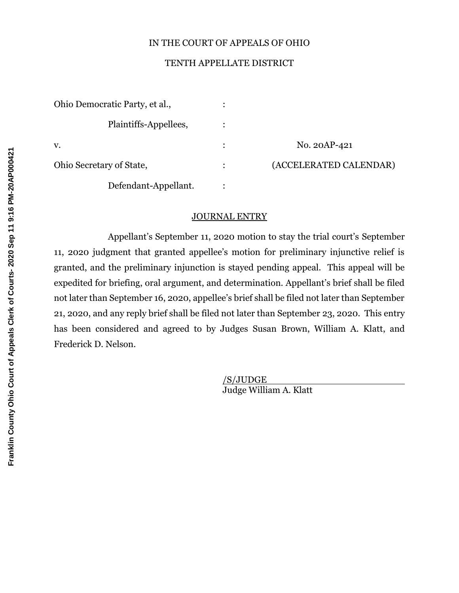## IN THE COURT OF APPEALS OF OHIO

## TENTH APPELLATE DISTRICT

| Ohio Democratic Party, et al., |                        |
|--------------------------------|------------------------|
| Plaintiffs-Appellees,          |                        |
| V.                             | No. 20AP-421           |
| Ohio Secretary of State,       | (ACCELERATED CALENDAR) |
| Defendant-Appellant.           |                        |

#### JOURNAL ENTRY

Appellant's September 11, 2020 motion to stay the trial court's September 11, 2020 judgment that granted appellee's motion for preliminary injunctive relief is granted, and the preliminary injunction is stayed pending appeal. This appeal will be expedited for briefing, oral argument, and determination. Appellant's brief shall be filed not later than September 16, 2020, appellee's brief shall be filed not later than September 21, 2020, and any reply brief shall be filed not later than September 23, 2020. This entry has been considered and agreed to by Judges Susan Brown, William A. Klatt, and Frederick D. Nelson.

> /S/JUDGE Judge William A. Klatt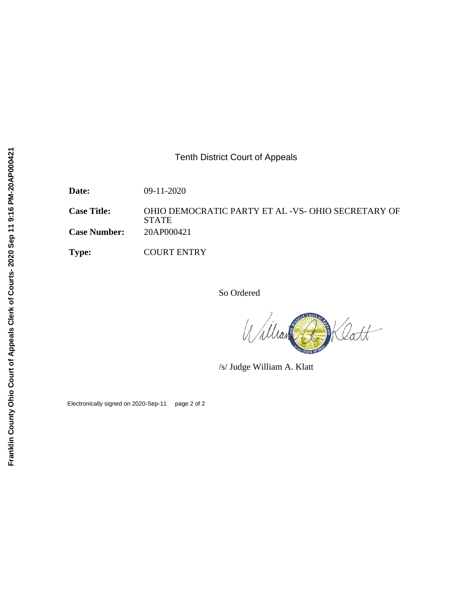## Tenth District Court of Appeals

**Date:** 09-11-2020

**Case Title:** OHIO DEMOCRATIC PARTY ET AL -VS- OHIO SECRETARY OF STATE **Case Number:** 20AP000421

**Type:** COURT ENTRY

So Ordered

BKlatt William

/s/ Judge William A. Klatt

Electronically signed on 2020-Sep-11 page 2 of 2